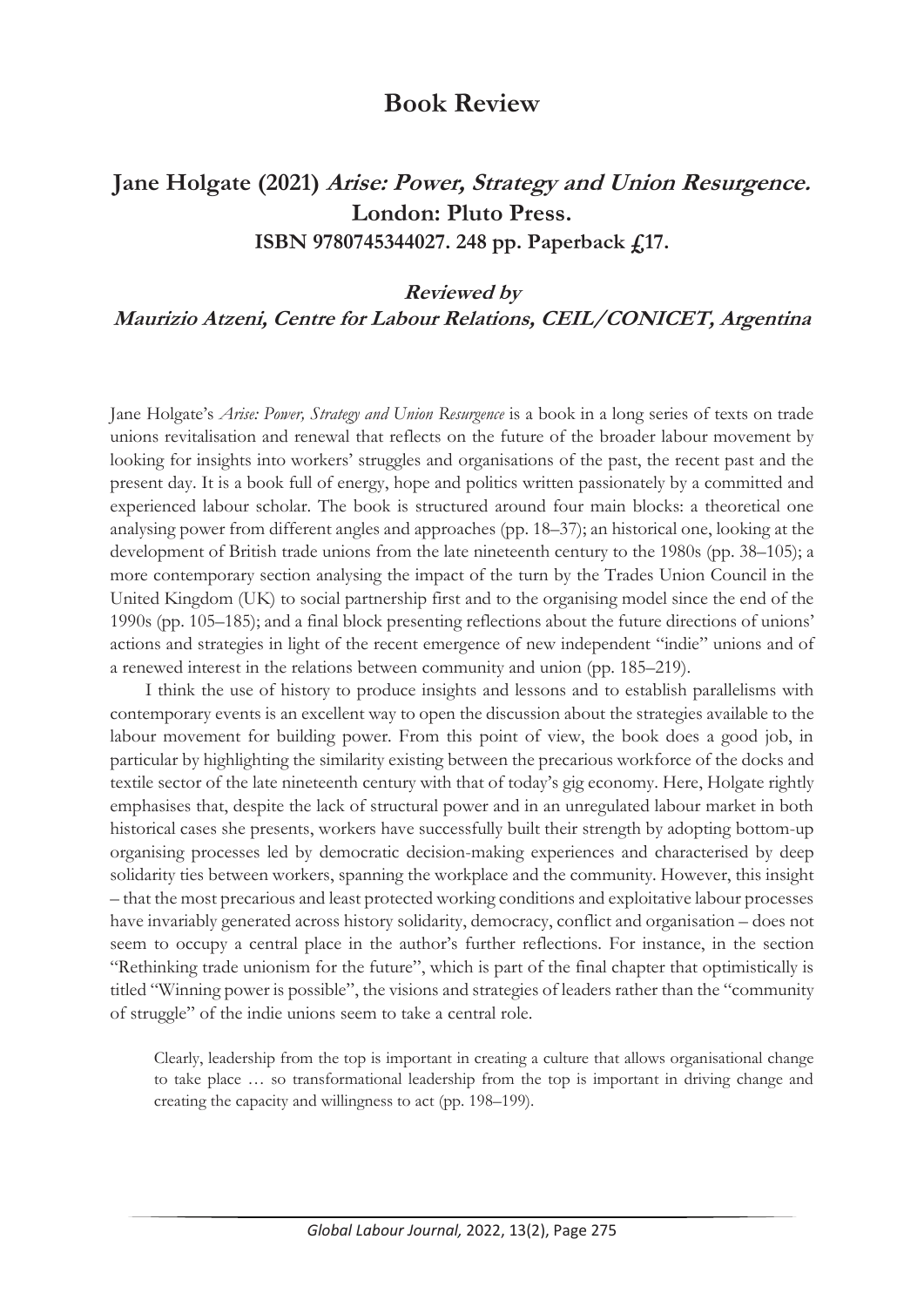## **Book Review**

# **Jane Holgate (2021) Arise: Power, Strategy and Union Resurgence. London: Pluto Press. ISBN 9780745344027. 248 pp. Paperback £17.**

#### **Reviewed by**

#### **Maurizio Atzeni, Centre for Labour Relations, CEIL/CONICET, Argentina**

Jane Holgate's *Arise: Power, Strategy and Union Resurgence* is a book in a long series of texts on trade unions revitalisation and renewal that reflects on the future of the broader labour movement by looking for insights into workers' struggles and organisations of the past, the recent past and the present day. It is a book full of energy, hope and politics written passionately by a committed and experienced labour scholar. The book is structured around four main blocks: a theoretical one analysing power from different angles and approaches (pp. 18–37); an historical one, looking at the development of British trade unions from the late nineteenth century to the 1980s (pp. 38–105); a more contemporary section analysing the impact of the turn by the Trades Union Council in the United Kingdom (UK) to social partnership first and to the organising model since the end of the 1990s (pp. 105–185); and a final block presenting reflections about the future directions of unions' actions and strategies in light of the recent emergence of new independent "indie" unions and of a renewed interest in the relations between community and union (pp. 185–219).

I think the use of history to produce insights and lessons and to establish parallelisms with contemporary events is an excellent way to open the discussion about the strategies available to the labour movement for building power. From this point of view, the book does a good job, in particular by highlighting the similarity existing between the precarious workforce of the docks and textile sector of the late nineteenth century with that of today's gig economy. Here, Holgate rightly emphasises that, despite the lack of structural power and in an unregulated labour market in both historical cases she presents, workers have successfully built their strength by adopting bottom-up organising processes led by democratic decision-making experiences and characterised by deep solidarity ties between workers, spanning the workplace and the community. However, this insight – that the most precarious and least protected working conditions and exploitative labour processes have invariably generated across history solidarity, democracy, conflict and organisation – does not seem to occupy a central place in the author's further reflections. For instance, in the section "Rethinking trade unionism for the future", which is part of the final chapter that optimistically is titled "Winning power is possible", the visions and strategies of leaders rather than the "community of struggle" of the indie unions seem to take a central role.

Clearly, leadership from the top is important in creating a culture that allows organisational change to take place … so transformational leadership from the top is important in driving change and creating the capacity and willingness to act (pp. 198–199).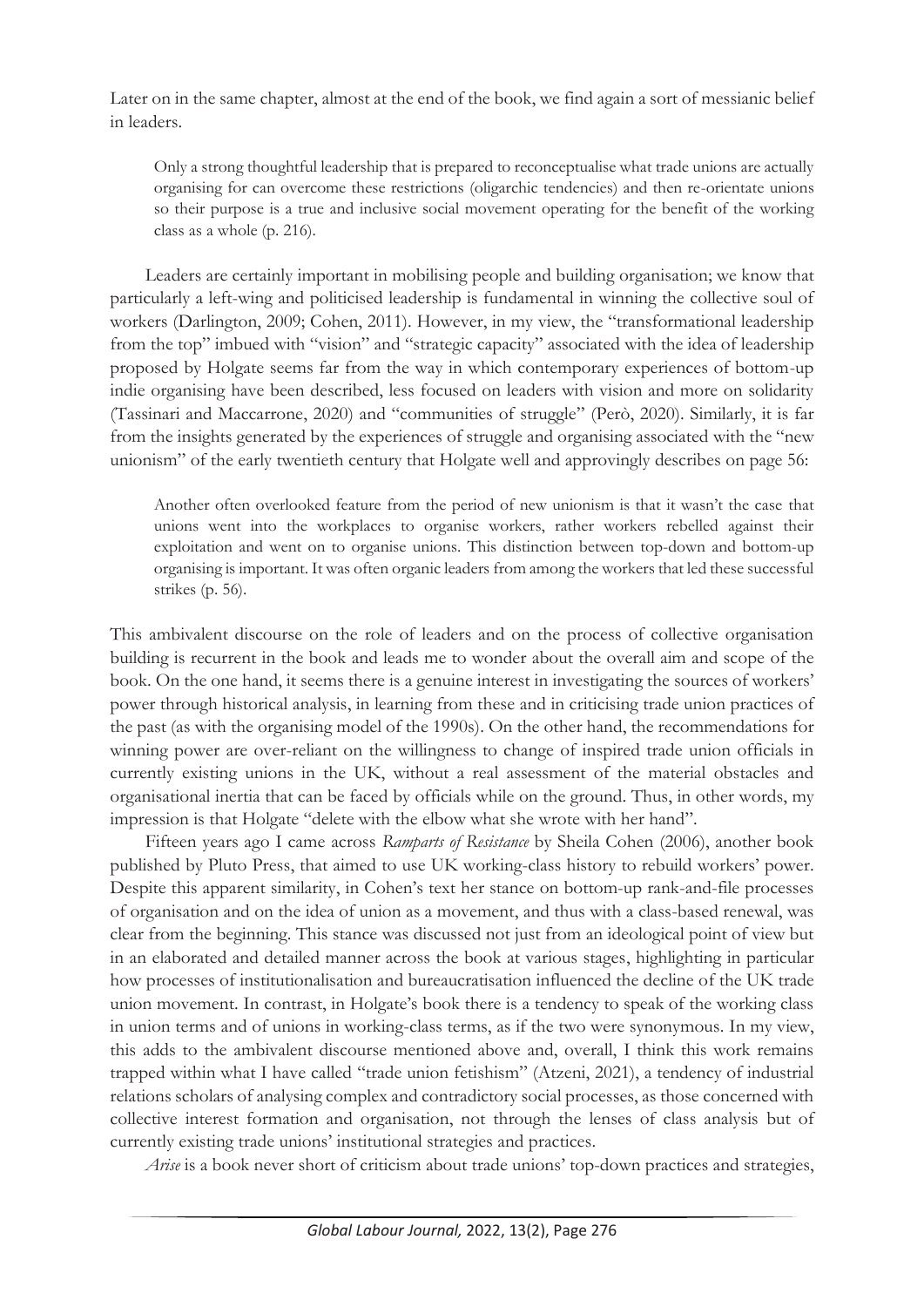Later on in the same chapter, almost at the end of the book, we find again a sort of messianic belief in leaders.

Only a strong thoughtful leadership that is prepared to reconceptualise what trade unions are actually organising for can overcome these restrictions (oligarchic tendencies) and then re-orientate unions so their purpose is a true and inclusive social movement operating for the benefit of the working class as a whole (p. 216).

Leaders are certainly important in mobilising people and building organisation; we know that particularly a left-wing and politicised leadership is fundamental in winning the collective soul of workers (Darlington, 2009; Cohen, 2011). However, in my view, the "transformational leadership from the top" imbued with "vision" and "strategic capacity" associated with the idea of leadership proposed by Holgate seems far from the way in which contemporary experiences of bottom-up indie organising have been described, less focused on leaders with vision and more on solidarity (Tassinari and Maccarrone, 2020) and "communities of struggle" (Però, 2020). Similarly, it is far from the insights generated by the experiences of struggle and organising associated with the "new unionism" of the early twentieth century that Holgate well and approvingly describes on page 56:

Another often overlooked feature from the period of new unionism is that it wasn't the case that unions went into the workplaces to organise workers, rather workers rebelled against their exploitation and went on to organise unions. This distinction between top-down and bottom-up organising is important. It was often organic leaders from among the workers that led these successful strikes (p. 56).

This ambivalent discourse on the role of leaders and on the process of collective organisation building is recurrent in the book and leads me to wonder about the overall aim and scope of the book. On the one hand, it seems there is a genuine interest in investigating the sources of workers' power through historical analysis, in learning from these and in criticising trade union practices of the past (as with the organising model of the 1990s). On the other hand, the recommendations for winning power are over-reliant on the willingness to change of inspired trade union officials in currently existing unions in the UK, without a real assessment of the material obstacles and organisational inertia that can be faced by officials while on the ground. Thus, in other words, my impression is that Holgate "delete with the elbow what she wrote with her hand".

Fifteen years ago I came across *Ramparts of Resistance* by Sheila Cohen (2006), another book published by Pluto Press, that aimed to use UK working-class history to rebuild workers' power. Despite this apparent similarity, in Cohen's text her stance on bottom-up rank-and-file processes of organisation and on the idea of union as a movement, and thus with a class-based renewal, was clear from the beginning. This stance was discussed not just from an ideological point of view but in an elaborated and detailed manner across the book at various stages, highlighting in particular how processes of institutionalisation and bureaucratisation influenced the decline of the UK trade union movement. In contrast, in Holgate's book there is a tendency to speak of the working class in union terms and of unions in working-class terms, as if the two were synonymous. In my view, this adds to the ambivalent discourse mentioned above and, overall, I think this work remains trapped within what I have called "trade union fetishism" (Atzeni, 2021), a tendency of industrial relations scholars of analysing complex and contradictory social processes, as those concerned with collective interest formation and organisation, not through the lenses of class analysis but of currently existing trade unions' institutional strategies and practices.

*Arise* is a book never short of criticism about trade unions' top-down practices and strategies,